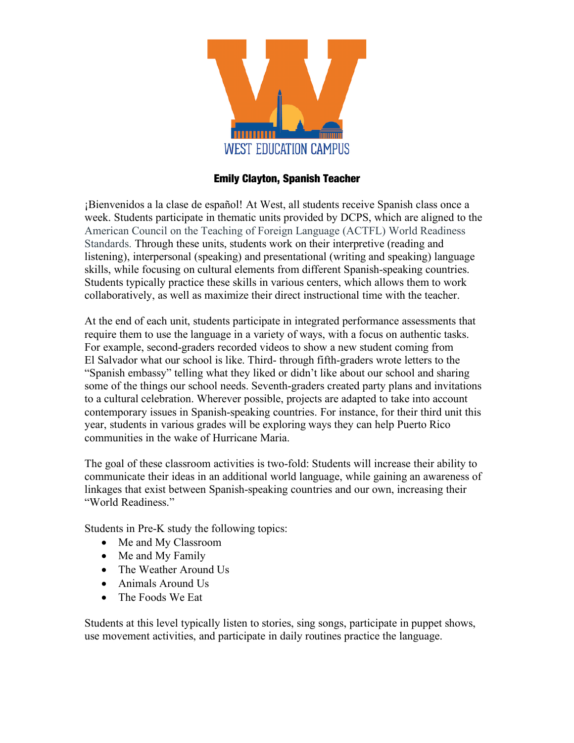

#### Emily Clayton, Spanish Teacher

¡Bienvenidos a la clase de español! At West, all students receive Spanish class once a week. Students participate in thematic units provided by DCPS, which are aligned to the American Council on the Teaching of Foreign Language (ACTFL) World Readiness Standards. Through these units, students work on their interpretive (reading and listening), interpersonal (speaking) and presentational (writing and speaking) language skills, while focusing on cultural elements from different Spanish-speaking countries. Students typically practice these skills in various centers, which allows them to work collaboratively, as well as maximize their direct instructional time with the teacher.

At the end of each unit, students participate in integrated performance assessments that require them to use the language in a variety of ways, with a focus on authentic tasks. For example, second-graders recorded videos to show a new student coming from El Salvador what our school is like. Third- through fifth-graders wrote letters to the "Spanish embassy" telling what they liked or didn't like about our school and sharing some of the things our school needs. Seventh-graders created party plans and invitations to a cultural celebration. Wherever possible, projects are adapted to take into account contemporary issues in Spanish-speaking countries. For instance, for their third unit this year, students in various grades will be exploring ways they can help Puerto Rico communities in the wake of Hurricane Maria.

The goal of these classroom activities is two-fold: Students will increase their ability to communicate their ideas in an additional world language, while gaining an awareness of linkages that exist between Spanish-speaking countries and our own, increasing their "World Readiness."

Students in Pre-K study the following topics:

- Me and My Classroom
- Me and My Family
- The Weather Around Us
- Animals Around Us
- The Foods We Eat

Students at this level typically listen to stories, sing songs, participate in puppet shows, use movement activities, and participate in daily routines practice the language.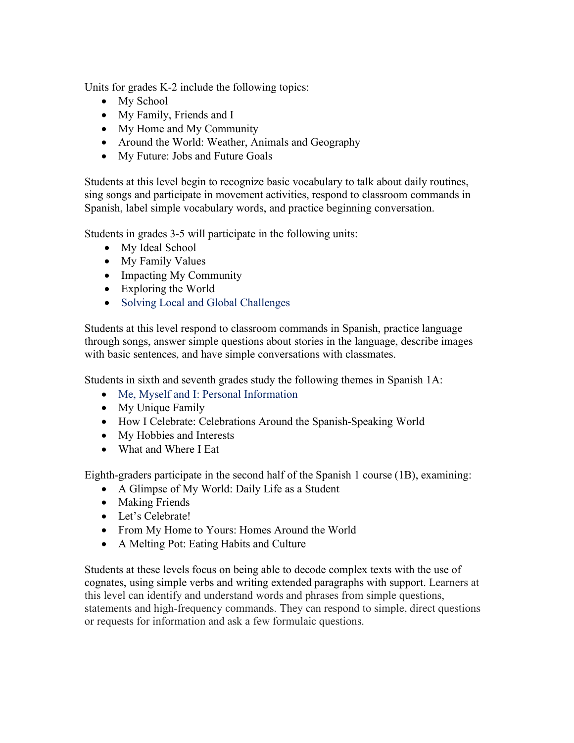Units for grades K-2 include the following topics:

- My School
- My Family, Friends and I
- My Home and My Community
- Around the World: Weather, Animals and Geography
- My Future: Jobs and Future Goals

Students at this level begin to recognize basic vocabulary to talk about daily routines, sing songs and participate in movement activities, respond to classroom commands in Spanish, label simple vocabulary words, and practice beginning conversation.

Students in grades 3-5 will participate in the following units:

- My Ideal School
- My Family Values
- Impacting My Community
- Exploring the World
- Solving Local and Global Challenges

Students at this level respond to classroom commands in Spanish, practice language through songs, answer simple questions about stories in the language, describe images with basic sentences, and have simple conversations with classmates.

Students in sixth and seventh grades study the following themes in Spanish 1A:

- Me, Myself and I: Personal Information
- My Unique Family
- How I Celebrate: Celebrations Around the Spanish-Speaking World
- My Hobbies and Interests
- What and Where I Eat

Eighth-graders participate in the second half of the Spanish 1 course (1B), examining:

- A Glimpse of My World: Daily Life as a Student
- Making Friends
- Let's Celebrate!
- From My Home to Yours: Homes Around the World
- A Melting Pot: Eating Habits and Culture

Students at these levels focus on being able to decode complex texts with the use of cognates, using simple verbs and writing extended paragraphs with support. Learners at this level can identify and understand words and phrases from simple questions, statements and high-frequency commands. They can respond to simple, direct questions or requests for information and ask a few formulaic questions.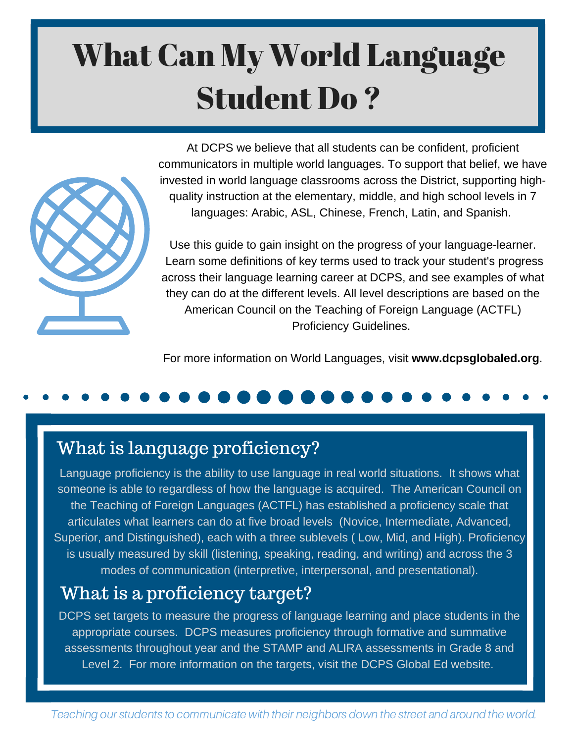# What Can My World Language Student Do ?



At DCPS we believe that all students can be confident, proficient communicators in multiple world languages. To support that belief, we have invested in world language classrooms across the District, supporting highquality instruction at the elementary, middle, and high school levels in 7 languages: Arabic, ASL, Chinese, French, Latin, and Spanish.

Use this guide to gain insight on the progress of your language-learner. Learn some definitions of key terms used to track your student's progress across their language learning career at DCPS, and see examples of what they can do at the different levels. All level descriptions are based on the American Council on the Teaching of Foreign Language (ACTFL) Proficiency Guidelines.

For more information on World Languages, visit **www.dcpsglobaled.org**.

### What is language proficiency?

Language proficiency is the ability to use language in real world situations. It shows what someone is able to regardless of how the language is acquired. The American Council on the Teaching of Foreign Languages (ACTFL) has established a proficiency scale that articulates what learners can do at five broad levels (Novice, Intermediate, Advanced, Superior, and Distinguished), each with a three sublevels ( Low, Mid, and High). Proficiency is usually measured by skill (listening, speaking, reading, and writing) and across the 3 modes of communication (interpretive, interpersonal, and presentational).

### What is a proficiency target?

DCPS set targets to measure the progress of language learning and place students in the appropriate courses. DCPS measures proficiency through formative and summative assessments throughout year and the STAMP and ALIRA assessments in Grade 8 and Level 2. For more information on the targets, visit the DCPS Global Ed website.

Teaching our students to communicate with their neighbors down the street and around the world.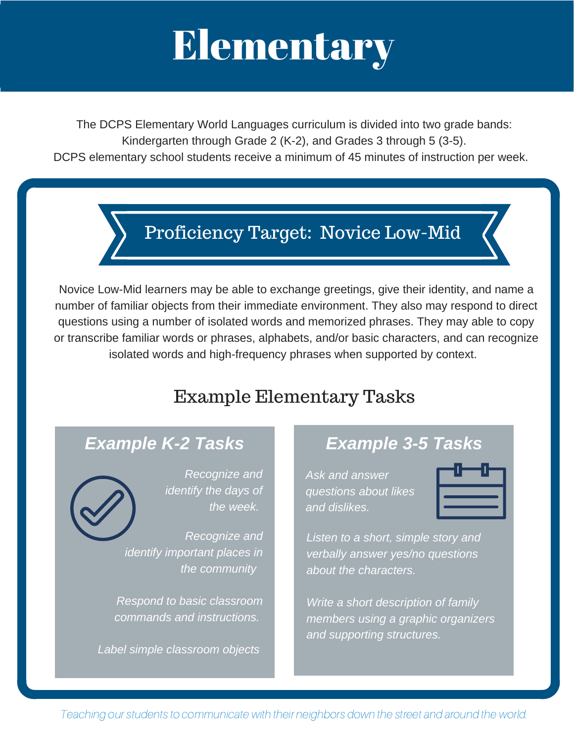# Elementary

The DCPS Elementary World Languages curriculum is divided into two grade bands: Kindergarten through Grade 2 (K-2), and Grades 3 through 5 (3-5). DCPS elementary school students receive a minimum of 45 minutes of instruction per week.

Proficiency Target: Novice Low-Mid

Novice Low-Mid learners may be able to exchange greetings, give their identity, and name a number of familiar objects from their immediate environment. They also may respond to direct questions using a number of isolated words and memorized phrases. They may able to copy or transcribe familiar words or phrases, alphabets, and/or basic characters, and can recognize isolated words and high-frequency phrases when supported by context.

### Example Elementary Tasks



*Recognize and identify the days of the week.*

*Recognize and identify important places in the community*

*Respond to basic classroom commands and instructions.*

*Label simple classroom objects*

### *Example K-2 Tasks Example 3-5 Tasks*

*Ask and answer questions about likes and dislikes.*



*Listen to a short, simple story and verbally answer yes/no questions about the characters.*

*Write a short description of family members using a graphic organizers and supporting structures.*

Teaching our students to communicate with their neighbors down the street and around the world.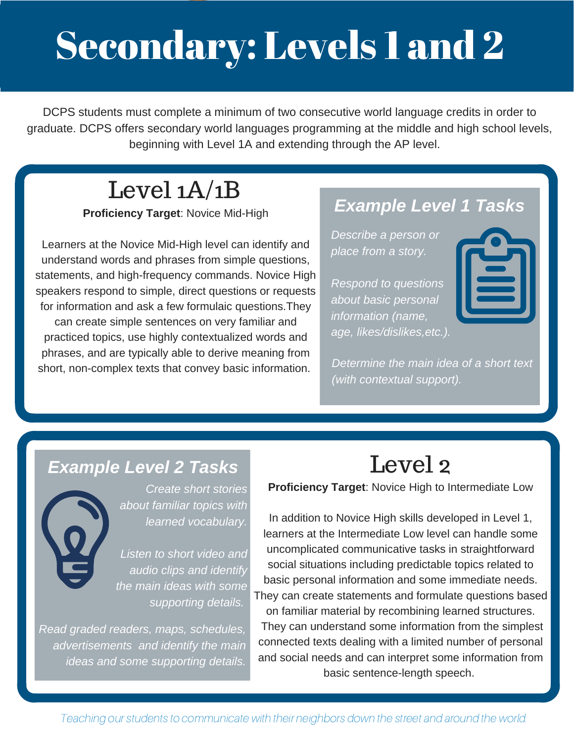# Secondary: Levels 1 and 2

DCPS students must complete a minimum of two consecutive world language credits in order to graduate. DCPS offers secondary world languages programming at the middle and high school levels, beginning with Level 1A and extending through the AP level.

### Level 1A/1B

**Proficiency Target**: Novice Mid-High

Learners at the Novice Mid-High level can identify and understand words and phrases from simple questions, statements, and high-frequency commands. Novice High speakers respond to simple, direct questions or requests for information and ask a few formulaic questions.They can create simple sentences on very familiar and practiced topics, use highly contextualized words and phrases, and are typically able to derive meaning from short, non-complex texts that convey basic information.

### *Example Level 1 Tasks*

*Describe a person or place from a story.*

*Respond to questions about basic personal information (name, age, likes/dislikes,etc.).*

*Determine the main idea of a short text (with contextual support).*



*Create short stories about familiar topics with learned vocabulary.*

*Listen to short video and audio clips and identify the main ideas with some supporting details.*

*Read graded readers, maps, schedules, advertisements and identify the main ideas and some supporting details.*

### **Proficiency Target**: Novice High to Intermediate Low Level 2

In addition to Novice High skills developed in Level 1, learners at the Intermediate Low level can handle some uncomplicated communicative tasks in straightforward social situations including predictable topics related to basic personal information and some immediate needs. They can create statements and formulate questions based on familiar material by recombining learned structures. They can understand some information from the simplest connected texts dealing with a limited number of personal and social needs and can interpret some information from basic sentence-length speech.

Teaching our students to communicate with their neighbors down the street and around the world.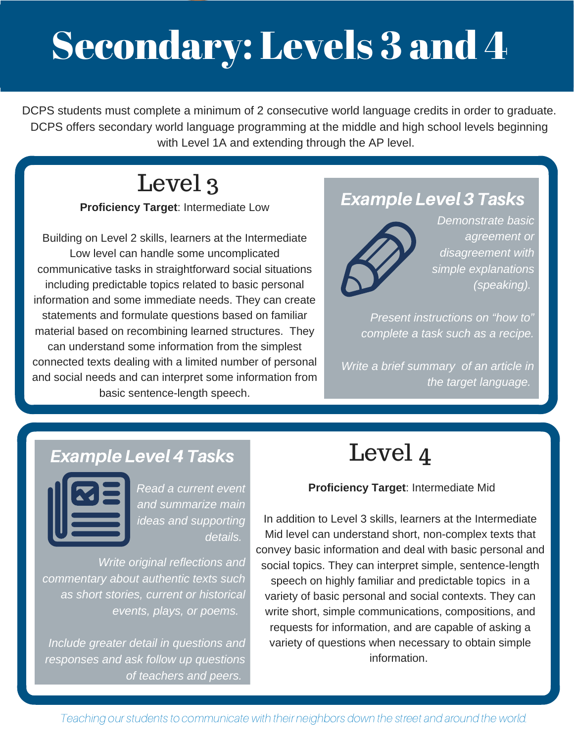# Secondary: Levels 3 and 4

DCPS students must complete a minimum of 2 consecutive world language credits in order to graduate. DCPS offers secondary world language programming at the middle and high school levels beginning with Level 1A and extending through the AP level.

## Level 3

### **Proficiency Target**: Intermediate Low

Building on Level 2 skills, learners at the Intermediate Low level can handle some uncomplicated communicative tasks in straightforward social situations including predictable topics related to basic personal information and some immediate needs. They can create statements and formulate questions based on familiar material based on recombining learned structures. They can understand some information from the simplest connected texts dealing with a limited number of personal and social needs and can interpret some information from basic sentence-length speech.

### Example Level 3 Tasks



*Demonstrate basic agreement or disagreement with simple explanations (speaking).*

*Present instructions on "how to" complete a task such as a recipe.*

*Write a brief summary of an article in the target language.*

### Example Level 4 Tasks



*Read a current event and summarize main ideas and supporting details.*

*Write original reflections and commentary about authentic texts such as short stories, current or historical events, plays, or poems.*

*Include greater detail in questions and responses and ask follow up questions of teachers and peers.*

### Level 4

#### **Proficiency Target**: Intermediate Mid

In addition to Level 3 skills, learners at the Intermediate Mid level can understand short, non-complex texts that convey basic information and deal with basic personal and social topics. They can interpret simple, sentence-length speech on highly familiar and predictable topics in a variety of basic personal and social contexts. They can write short, simple communications, compositions, and requests for information, and are capable of asking a variety of questions when necessary to obtain simple information.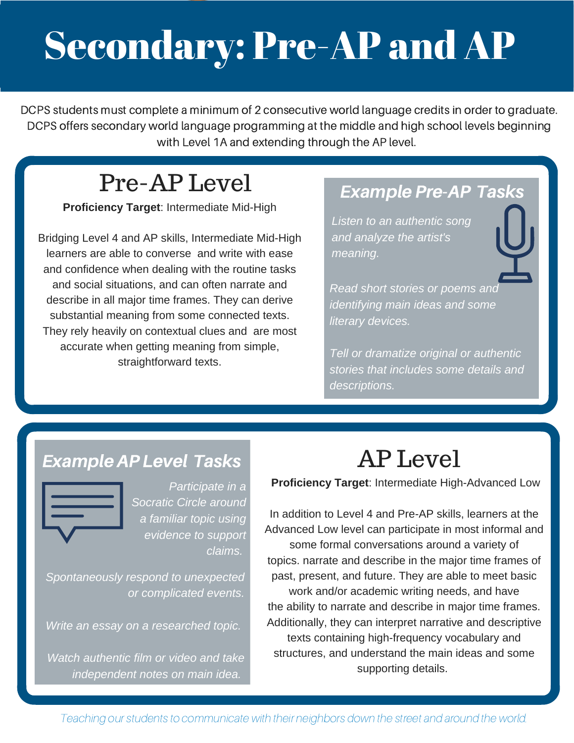# Secondary: Pre-AP and AP

DCPS students must complete a minimum of 2 consecutive world language credits in order to graduate. DCPS offers secondary world language programming at the middle and high school levels beginning with Level 1A and extending through the AP level.

### Pre-AP Level

**Proficiency Target**: Intermediate Mid-High

Bridging Level 4 and AP skills, Intermediate Mid-High learners are able to converse and write with ease and confidence when dealing with the routine tasks and social situations, and can often narrate and describe in all major time frames. They can derive substantial meaning from some connected texts. They rely heavily on contextual clues and are most accurate when getting meaning from simple, straightforward texts.

### Example Pre-AP Tasks

*Listen to an authentic song and analyze the artist's meaning.*

*Read short stories or poems and identifying main ideas and some literary devices.*

*Tell or dramatize original or authentic stories that includes some details and descriptions.*

### ExampleAP Level Tasks



*Participate in a Socratic Circle around a familiar topic using evidence to support claims.*

*Spontaneously respond to unexpected or complicated events.*

*Write an essay on a researched topic.*

*Watch authentic film or video and take independent notes on main idea.*

## AP Level

**Proficiency Target**: Intermediate High-Advanced Low

In addition to Level 4 and Pre-AP skills, learners at the Advanced Low level can participate in most informal and some formal conversations around a variety of topics. narrate and describe in the major time frames of past, present, and future. They are able to meet basic work and/or academic writing needs, and have the ability to narrate and describe in major time frames. Additionally, they can interpret narrative and descriptive texts containing high-frequency vocabulary and structures, and understand the main ideas and some supporting details.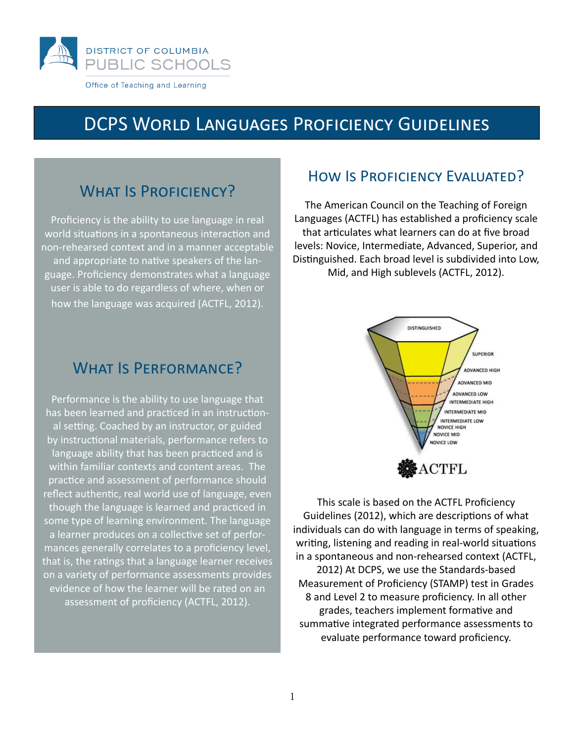

### **DCPS WORLD LANGUAGES PROFICIENCY GUIDELINES**

### **WHAT IS PROFICIENCY?**

Proficiency is the ability to use language in real world situations in a spontaneous interaction and non-rehearsed context and in a manner acceptable and appropriate to native speakers of the language. Proficiency demonstrates what a language user is able to do regardless of where, when or how the language was acquired (ACTFL, 2012).

### **WHAT IS PERFORMANCE?**

Performance is the ability to use language that has been learned and practiced in an instructional setting. Coached by an instructor, or guided by instructional materials, performance refers to language ability that has been practiced and is within familiar contexts and content areas. The practice and assessment of performance should reflect authentic, real world use of language, even though the language is learned and practiced in some type of learning environment. The language a learner produces on a collective set of performances generally correlates to a proficiency level, that is, the ratings that a language learner receives on a variety of performance assessments provides evidence of how the learner will be rated on an assessment of proficiency (ACTFL, 2012).

### HOW IS PROFICIENCY EVALUATED?

The American Council on the Teaching of Foreign Languages (ACTFL) has established a proficiency scale that articulates what learners can do at five broad levels: Novice, Intermediate, Advanced, Superior, and Distinguished. Each broad level is subdivided into Low, Mid, and High sublevels (ACTFL, 2012).



This scale is based on the ACTFL Proficiency Guidelines (2012), which are descriptions of what individuals can do with language in terms of speaking, writing, listening and reading in real-world situations in a spontaneous and non-rehearsed context (ACTFL, 2012) At DCPS, we use the Standards-based Measurement of Proficiency (STAMP) test in Grades 8 and Level 2 to measure proficiency. In all other grades, teachers implement formative and summative integrated performance assessments to evaluate performance toward proficiency.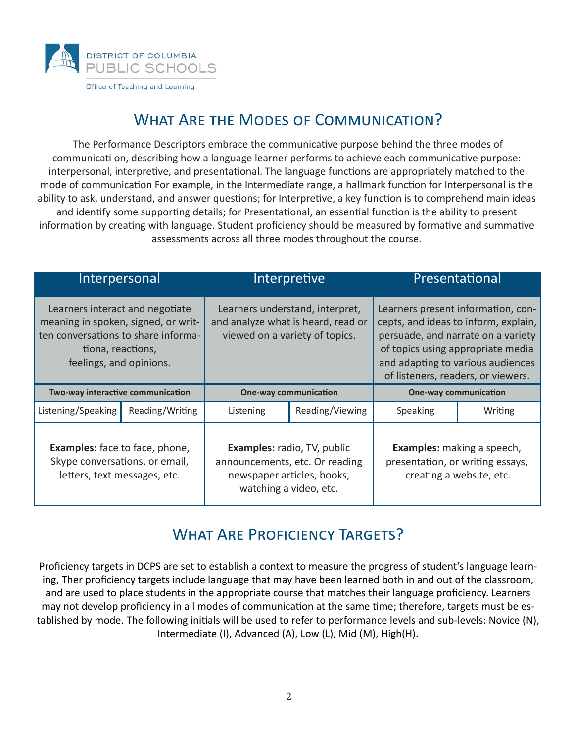

### WHAT ARE THE MODES OF COMMUNICATION?

The Performance Descriptors embrace the communicative purpose behind the three modes of communicati on, describing how a language learner performs to achieve each communicative purpose: interpersonal, interpretive, and presentational. The language functions are appropriately matched to the mode of communication For example, in the Intermediate range, a hallmark function for Interpersonal is the ability to ask, understand, and answer questions; for Interpretive, a key function is to comprehend main ideas and identify some supporting details; for Presentational, an essential function is the ability to present information by creating with language. Student proficiency should be measured by formative and summative assessments across all three modes throughout the course.

| Interpersonal                                                                                                                                                 |                 |                                                                                                                              | Interpretive | Presentational                                                                                                                                                                                                                   |         |
|---------------------------------------------------------------------------------------------------------------------------------------------------------------|-----------------|------------------------------------------------------------------------------------------------------------------------------|--------------|----------------------------------------------------------------------------------------------------------------------------------------------------------------------------------------------------------------------------------|---------|
| Learners interact and negotiate<br>meaning in spoken, signed, or writ-<br>ten conversations to share informa-<br>tiona, reactions,<br>feelings, and opinions. |                 | Learners understand, interpret,<br>and analyze what is heard, read or<br>viewed on a variety of topics.                      |              | Learners present information, con-<br>cepts, and ideas to inform, explain,<br>persuade, and narrate on a variety<br>of topics using appropriate media<br>and adapting to various audiences<br>of listeners, readers, or viewers. |         |
| Two-way interactive communication                                                                                                                             |                 | <b>One-way communication</b>                                                                                                 |              | <b>One-way communication</b>                                                                                                                                                                                                     |         |
| Listening/Speaking                                                                                                                                            | Reading/Writing | Reading/Viewing<br>Listening                                                                                                 |              | Speaking                                                                                                                                                                                                                         | Writing |
| <b>Examples:</b> face to face, phone,<br>Skype conversations, or email,<br>letters, text messages, etc.                                                       |                 | <b>Examples: radio, TV, public</b><br>announcements, etc. Or reading<br>newspaper articles, books,<br>watching a video, etc. |              | Examples: making a speech,<br>presentation, or writing essays,<br>creating a website, etc.                                                                                                                                       |         |

### WHAT ARE PROFICIENCY TARGETS?

Proficiency targets in DCPS are set to establish a context to measure the progress of student's language learning, Ther proficiency targets include language that may have been learned both in and out of the classroom, and are used to place students in the appropriate course that matches their language proficiency. Learners may not develop proficiency in all modes of communication at the same time; therefore, targets must be established by mode. The following initials will be used to refer to performance levels and sub-levels: Novice (N), Intermediate (I), Advanced (A), Low (L), Mid (M), High(H).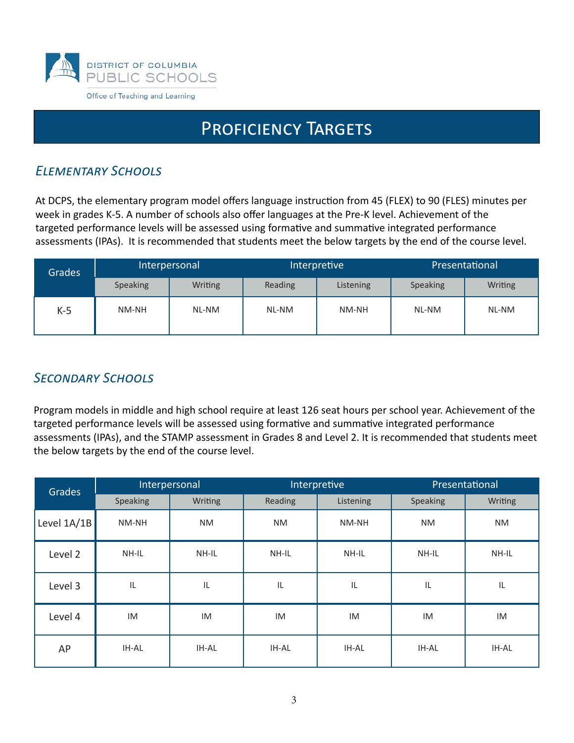

### PROFICIENCY TARGETS

### **ELEMENTARY SCHOOLS**

At DCPS, the elementary program model offers language instruction from 45 (FLEX) to 90 (FLES) minutes per week in grades K-5. A number of schools also offer languages at the Pre-K level. Achievement of the targeted performance levels will be assessed using formative and summative integrated performance assessments (IPAs). It is recommended that students meet the below targets by the end of the course level.

| <b>Grades</b> | Interpersonal |         | Interpretive |           | Presentational  |                |
|---------------|---------------|---------|--------------|-----------|-----------------|----------------|
|               | Speaking      | Writing | Reading      | Listening | <b>Speaking</b> | <b>Writing</b> |
| $K-5$         | NM-NH         | NL-NM   | NL-NM        | NM-NH     | NL-NM           | NL-NM          |

### **SECONDARY SCHOOLS**

Program models in middle and high school require at least 126 seat hours per school year. Achievement of the targeted performance levels will be assessed using formative and summative integrated performance assessments (IPAs), and the STAMP assessment in Grades 8 and Level 2. It is recommended that students meet the below targets by the end of the course level.

| Grades        | Interpersonal |              | Interpretive |           | Presentational |           |
|---------------|---------------|--------------|--------------|-----------|----------------|-----------|
|               | Speaking      | Writing      | Reading      | Listening | Speaking       | Writing   |
| Level $1A/1B$ | NM-NH         | <b>NM</b>    | <b>NM</b>    | NM-NH     | <b>NM</b>      | <b>NM</b> |
| Level 2       | NH-IL         | NH-IL        | NH-IL        | NH-IL     | NH-IL          | NH-IL     |
| Level 3       | IL            | IL           | IL           | IL        | IL             | IL        |
| Level 4       | IM            | IM           | IM           | IM        | IM             | IM        |
| AP            | IH-AL         | <b>IH-AL</b> | <b>IH-AL</b> | IH-AL     | IH-AL          | IH-AL     |